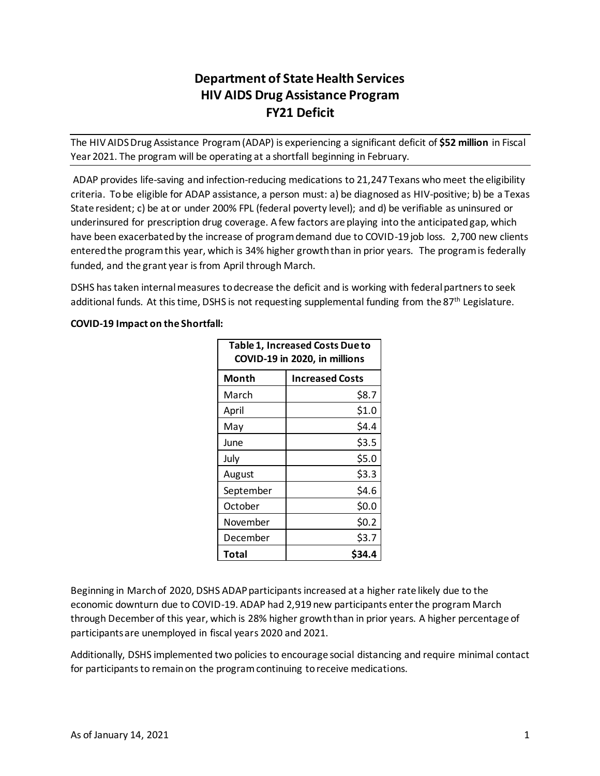# **Department of State Health Services HIV AIDS Drug Assistance Program FY21 Deficit**

The HIV AIDS Drug Assistance Program (ADAP) is experiencing a significant deficit of **\$52 million** in Fiscal Year 2021. The program will be operating at a shortfall beginning in February.

ADAP provides life-saving and infection-reducing medications to 21,247 Texans who meet the eligibility criteria. To be eligible for ADAP assistance, a person must: a) be diagnosed as HIV-positive; b) be a Texas State resident; c) be at or under 200% FPL (federal poverty level); and d) be verifiable as uninsured or underinsured for prescription drug coverage. A few factors are playing into the anticipated gap, which have been exacerbated by the increase of program demand due to COVID-19 job loss. 2,700 new clients entered the program this year, which is 34% higher growth than in prior years. The program is federally funded, and the grant year is from April through March.

DSHS has taken internal measures to decrease the deficit and is working with federal partners to seek additional funds. At this time, DSHS is not requesting supplemental funding from the 87<sup>th</sup> Legislature.

## **COVID-19 Impact on the Shortfall:**

| Table 1, Increased Costs Due to<br>COVID-19 in 2020, in millions |                        |  |
|------------------------------------------------------------------|------------------------|--|
| Month                                                            | <b>Increased Costs</b> |  |
| March                                                            | \$8.7                  |  |
| April                                                            | \$1.0                  |  |
| May                                                              | \$4.4                  |  |
| June                                                             | \$3.5                  |  |
| July                                                             | \$5.0                  |  |
| August                                                           | \$3.3                  |  |
| September                                                        | \$4.6                  |  |
| October                                                          | \$0.0                  |  |
| November                                                         | \$0.2                  |  |
| December                                                         | \$3.7                  |  |
| Total                                                            |                        |  |

Beginning in March of 2020, DSHS ADAP participants increased at a higher rate likely due to the economic downturn due to COVID-19. ADAP had 2,919 new participants enter the program March through December of this year, which is 28% higher growth than in prior years. A higher percentage of participants are unemployed in fiscal years 2020 and 2021.

Additionally, DSHS implemented two policies to encourage social distancing and require minimal contact for participants to remain on the program continuing to receive medications.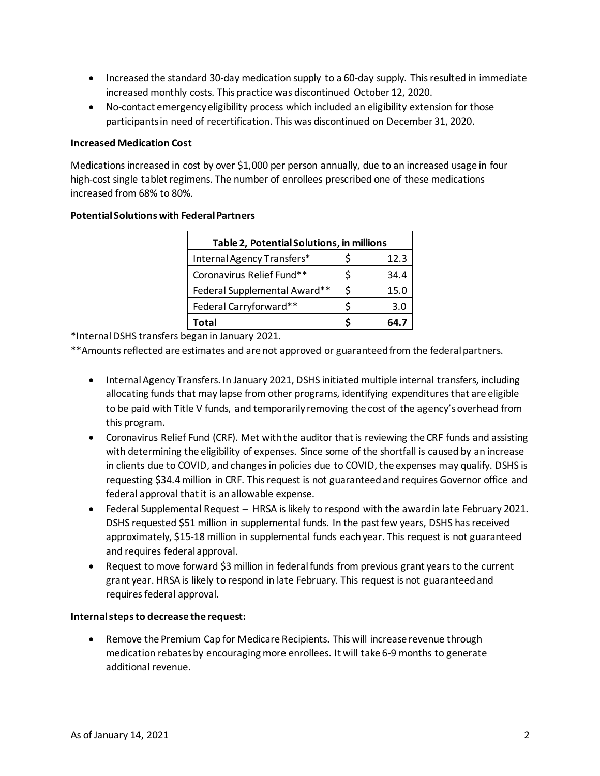- Increased the standard 30-day medication supply to a 60-day supply. This resulted in immediate increased monthly costs. This practice was discontinued October 12, 2020.
- No-contact emergency eligibility process which included an eligibility extension for those participants in need of recertification. This was discontinued on December 31, 2020.

#### **Increased Medication Cost**

Medications increased in cost by over \$1,000 per person annually, due to an increased usage in four high-cost single tablet regimens. The number of enrollees prescribed one of these medications increased from 68% to 80%.

| Table 2, Potential Solutions, in millions |  |      |  |
|-------------------------------------------|--|------|--|
| Internal Agency Transfers*                |  | 12.3 |  |
| Coronavirus Relief Fund**                 |  | 34.4 |  |
| Federal Supplemental Award**              |  | 15.0 |  |
| Federal Carryforward**                    |  | 3.0  |  |
| Total                                     |  | 64.7 |  |

### **Potential Solutions with Federal Partners**

\*Internal DSHS transfers beganin January 2021.

\*\*Amounts reflected are estimates and are not approved or guaranteed from the federal partners.

- Internal Agency Transfers. In January 2021, DSHS initiated multiple internal transfers, including allocating funds that may lapse from other programs, identifying expenditures that are eligible to be paid with Title V funds, and temporarily removing the cost of the agency's overhead from this program.
- Coronavirus Relief Fund (CRF). Met with the auditor that is reviewing the CRF funds and assisting with determining the eligibility of expenses. Since some of the shortfall is caused by an increase in clients due to COVID, and changes in policies due to COVID, the expenses may qualify. DSHS is requesting \$34.4 million in CRF. This request is not guaranteed and requires Governor office and federal approval that it is an allowable expense.
- Federal Supplemental Request HRSA is likely to respond with the award in late February 2021. DSHS requested \$51 million in supplemental funds. In the past few years, DSHS has received approximately, \$15-18 million in supplemental funds each year. This request is not guaranteed and requires federal approval.
- Request to move forward \$3 million in federal funds from previous grant years to the current grant year. HRSA is likely to respond in late February. This request is not guaranteed and requires federal approval.

#### **Internal steps to decrease the request:**

• Remove the Premium Cap for Medicare Recipients. This will increase revenue through medication rebatesby encouraging more enrollees. It will take 6-9 months to generate additional revenue.